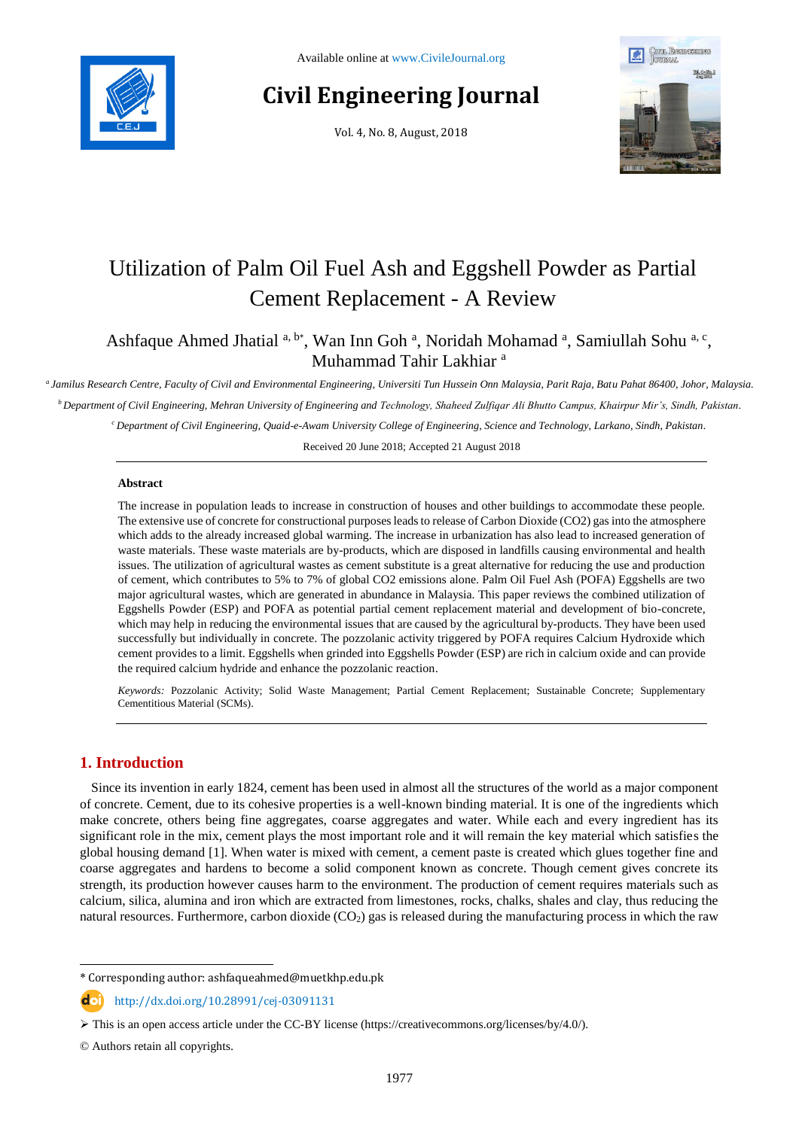

# **Civil Engineering Journal**

Vol. 4, No. 8, August, 2018



# Utilization of Palm Oil Fuel Ash and Eggshell Powder as Partial Cement Replacement - A Review

Ashfaque Ahmed Jhatial a, b\*, Wan Inn Goh a, Noridah Mohamad a, Samiullah Sohu a, c, Muhammad Tahir Lakhiar <sup>a</sup>

*a Jamilus Research Centre, Faculty of Civil and Environmental Engineering, Universiti Tun Hussein Onn Malaysia, Parit Raja, Batu Pahat 86400, Johor, Malaysia. <sup>b</sup>Department of Civil Engineering, Mehran University of Engineering and Technology, Shaheed Zulfiqar Ali Bhutto Campus, Khairpur Mir's, Sindh, Pakistan.*

*<sup>c</sup>Department of Civil Engineering, Quaid-e-Awam University College of Engineering, Science and Technology, Larkano, Sindh, Pakistan.*

Received 20 June 2018; Accepted 21 August 2018

### **Abstract**

The increase in population leads to increase in construction of houses and other buildings to accommodate these people. The extensive use of concrete for constructional purposes leads to release of Carbon Dioxide (CO2) gas into the atmosphere which adds to the already increased global warming. The increase in urbanization has also lead to increased generation of waste materials. These waste materials are by-products, which are disposed in landfills causing environmental and health issues. The utilization of agricultural wastes as cement substitute is a great alternative for reducing the use and production of cement, which contributes to 5% to 7% of global CO2 emissions alone. Palm Oil Fuel Ash (POFA) Eggshells are two major agricultural wastes, which are generated in abundance in Malaysia. This paper reviews the combined utilization of Eggshells Powder (ESP) and POFA as potential partial cement replacement material and development of bio-concrete, which may help in reducing the environmental issues that are caused by the agricultural by-products. They have been used successfully but individually in concrete. The pozzolanic activity triggered by POFA requires Calcium Hydroxide which cement provides to a limit. Eggshells when grinded into Eggshells Powder (ESP) are rich in calcium oxide and can provide the required calcium hydride and enhance the pozzolanic reaction.

*Keywords:* Pozzolanic Activity; Solid Waste Management; Partial Cement Replacement; Sustainable Concrete; Supplementary Cementitious Material (SCMs).

# **1. Introduction**

l

Since its invention in early 1824, cement has been used in almost all the structures of the world as a major component of concrete. Cement, due to its cohesive properties is a well-known binding material. It is one of the ingredients which make concrete, others being fine aggregates, coarse aggregates and water. While each and every ingredient has its significant role in the mix, cement plays the most important role and it will remain the key material which satisfies the global housing demand [1]. When water is mixed with cement, a cement paste is created which glues together fine and coarse aggregates and hardens to become a solid component known as concrete. Though cement gives concrete its strength, its production however causes harm to the environment. The production of cement requires materials such as calcium, silica, alumina and iron which are extracted from limestones, rocks, chalks, shales and clay, thus reducing the natural resources. Furthermore, carbon dioxide  $(CO<sub>2</sub>)$  gas is released during the manufacturing process in which the raw

<sup>\*</sup> Corresponding author: ashfaqueahmed@muetkhp.edu.pk

http://dx.doi.org/10.28991/cej-03091131

 $\triangleright$  This is an open access article under the CC-BY license [\(https://creativecommons.org/licenses/by/4.0/\)](https://creativecommons.org/licenses/by/4.0/).

<sup>©</sup> Authors retain all copyrights.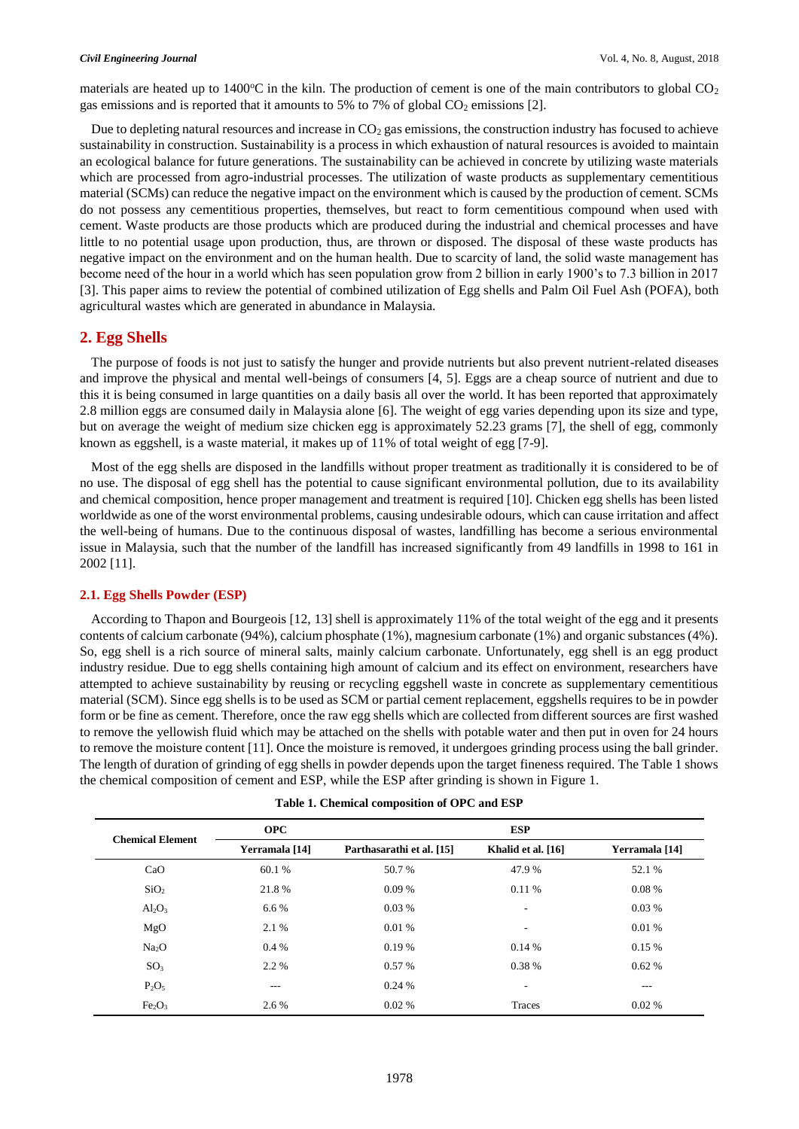materials are heated up to  $1400^{\circ}\text{C}$  in the kiln. The production of cement is one of the main contributors to global  $\text{CO}_2$ gas emissions and is reported that it amounts to 5% to 7% of global  $CO<sub>2</sub>$  emissions [2].

Due to depleting natural resources and increase in  $CO<sub>2</sub>$  gas emissions, the construction industry has focused to achieve sustainability in construction. Sustainability is a process in which exhaustion of natural resources is avoided to maintain an ecological balance for future generations. The sustainability can be achieved in concrete by utilizing waste materials which are processed from agro-industrial processes. The utilization of waste products as supplementary cementitious material (SCMs) can reduce the negative impact on the environment which is caused by the production of cement. SCMs do not possess any cementitious properties, themselves, but react to form cementitious compound when used with cement. Waste products are those products which are produced during the industrial and chemical processes and have little to no potential usage upon production, thus, are thrown or disposed. The disposal of these waste products has negative impact on the environment and on the human health. Due to scarcity of land, the solid waste management has become need of the hour in a world which has seen population grow from 2 billion in early 1900's to 7.3 billion in 2017 [3]. This paper aims to review the potential of combined utilization of Egg shells and Palm Oil Fuel Ash (POFA), both agricultural wastes which are generated in abundance in Malaysia.

# **2. Egg Shells**

The purpose of foods is not just to satisfy the hunger and provide nutrients but also prevent nutrient-related diseases and improve the physical and mental well-beings of consumers [4, 5]. Eggs are a cheap source of nutrient and due to this it is being consumed in large quantities on a daily basis all over the world. It has been reported that approximately 2.8 million eggs are consumed daily in Malaysia alone [6]. The weight of egg varies depending upon its size and type, but on average the weight of medium size chicken egg is approximately 52.23 grams [7], the shell of egg, commonly known as eggshell, is a waste material, it makes up of 11% of total weight of egg [7-9].

Most of the egg shells are disposed in the landfills without proper treatment as traditionally it is considered to be of no use. The disposal of egg shell has the potential to cause significant environmental pollution, due to its availability and chemical composition, hence proper management and treatment is required [10]. Chicken egg shells has been listed worldwide as one of the worst environmental problems, causing undesirable odours, which can cause irritation and affect the well-being of humans. Due to the continuous disposal of wastes, landfilling has become a serious environmental issue in Malaysia, such that the number of the landfill has increased significantly from 49 landfills in 1998 to 161 in 2002 [11].

# **2.1. Egg Shells Powder (ESP)**

According to Thapon and Bourgeois [12, 13] shell is approximately 11% of the total weight of the egg and it presents contents of calcium carbonate (94%), calcium phosphate (1%), magnesium carbonate (1%) and organic substances (4%). So, egg shell is a rich source of mineral salts, mainly calcium carbonate. Unfortunately, egg shell is an egg product industry residue. Due to egg shells containing high amount of calcium and its effect on environment, researchers have attempted to achieve sustainability by reusing or recycling eggshell waste in concrete as supplementary cementitious material (SCM). Since egg shells is to be used as SCM or partial cement replacement, eggshells requires to be in powder form or be fine as cement. Therefore, once the raw egg shells which are collected from different sources are first washed to remove the yellowish fluid which may be attached on the shells with potable water and then put in oven for 24 hours to remove the moisture content [11]. Once the moisture is removed, it undergoes grinding process using the ball grinder. The length of duration of grinding of egg shells in powder depends upon the target fineness required. The Table 1 shows the chemical composition of cement and ESP, while the ESP after grinding is shown in Figure 1.

| <b>Chemical Element</b>        | <b>OPC</b>     | <b>ESP</b>                |                    |                |  |
|--------------------------------|----------------|---------------------------|--------------------|----------------|--|
|                                | Yerramala [14] | Parthasarathi et al. [15] | Khalid et al. [16] | Yerramala [14] |  |
| CaO                            | 60.1 %         | 50.7 %                    | 47.9 %             | 52.1 %         |  |
| SiO <sub>2</sub>               | 21.8%          | $0.09\%$                  | 0.11 %             | 0.08%          |  |
| $Al_2O_3$                      | $6.6\%$        | 0.03%                     | ۰.                 | 0.03%          |  |
| MgO                            | 2.1 %          | 0.01%                     | ٠                  | 0.01%          |  |
| Na <sub>2</sub> O              | $0.4\%$        | $0.19\%$                  | 0.14%              | 0.15%          |  |
| SO <sub>3</sub>                | 2.2 %          | 0.57%                     | 0.38 %             | 0.62%          |  |
| $P_2O_5$                       | $---$          | 0.24%                     | ۰                  | $---$          |  |
| Fe <sub>2</sub> O <sub>3</sub> | 2.6 %          | $0.02\%$                  | Traces             | $0.02\%$       |  |

|  |  | Table 1. Chemical composition of OPC and ESP |  |  |  |  |
|--|--|----------------------------------------------|--|--|--|--|
|--|--|----------------------------------------------|--|--|--|--|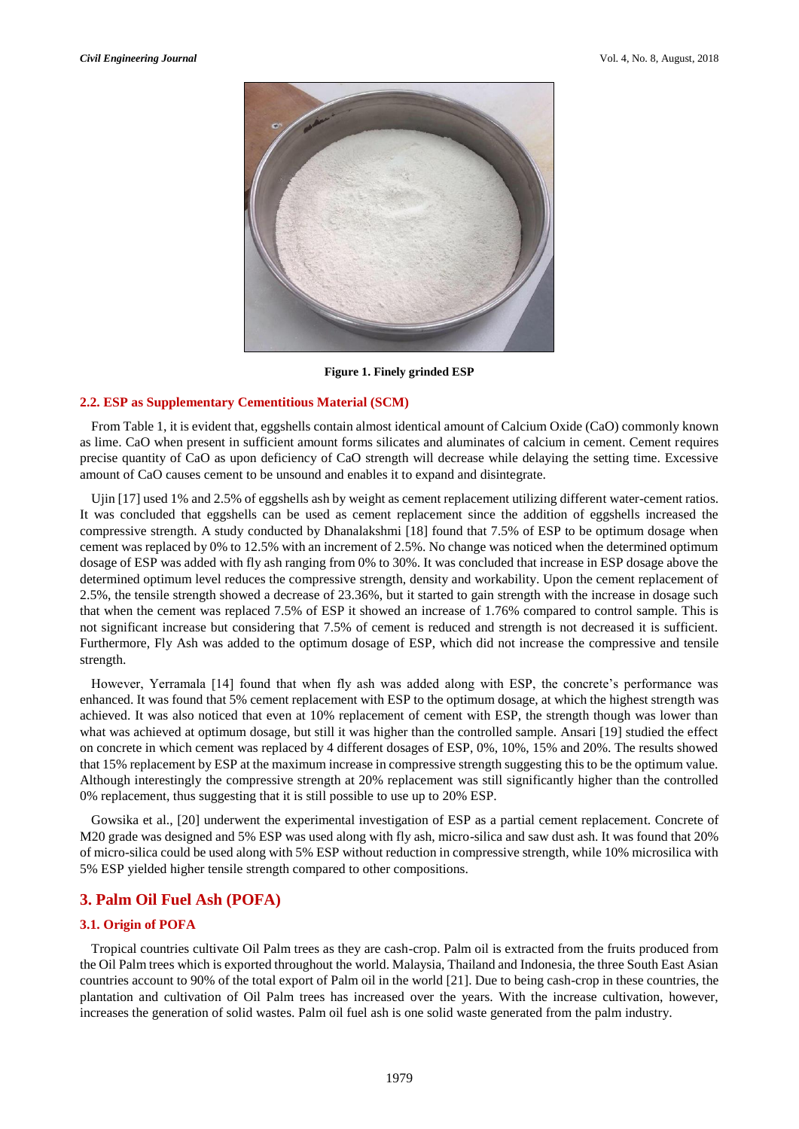

**Figure 1. Finely grinded ESP**

### **2.2. ESP as Supplementary Cementitious Material (SCM)**

From Table 1, it is evident that, eggshells contain almost identical amount of Calcium Oxide (CaO) commonly known as lime. CaO when present in sufficient amount forms silicates and aluminates of calcium in cement. Cement requires precise quantity of CaO as upon deficiency of CaO strength will decrease while delaying the setting time. Excessive amount of CaO causes cement to be unsound and enables it to expand and disintegrate.

Ujin [17] used 1% and 2.5% of eggshells ash by weight as cement replacement utilizing different water-cement ratios. It was concluded that eggshells can be used as cement replacement since the addition of eggshells increased the compressive strength. A study conducted by Dhanalakshmi [18] found that 7.5% of ESP to be optimum dosage when cement was replaced by 0% to 12.5% with an increment of 2.5%. No change was noticed when the determined optimum dosage of ESP was added with fly ash ranging from 0% to 30%. It was concluded that increase in ESP dosage above the determined optimum level reduces the compressive strength, density and workability. Upon the cement replacement of 2.5%, the tensile strength showed a decrease of 23.36%, but it started to gain strength with the increase in dosage such that when the cement was replaced 7.5% of ESP it showed an increase of 1.76% compared to control sample. This is not significant increase but considering that 7.5% of cement is reduced and strength is not decreased it is sufficient. Furthermore, Fly Ash was added to the optimum dosage of ESP, which did not increase the compressive and tensile strength.

However, Yerramala [14] found that when fly ash was added along with ESP, the concrete's performance was enhanced. It was found that 5% cement replacement with ESP to the optimum dosage, at which the highest strength was achieved. It was also noticed that even at 10% replacement of cement with ESP, the strength though was lower than what was achieved at optimum dosage, but still it was higher than the controlled sample. Ansari [19] studied the effect on concrete in which cement was replaced by 4 different dosages of ESP, 0%, 10%, 15% and 20%. The results showed that 15% replacement by ESP at the maximum increase in compressive strength suggesting this to be the optimum value. Although interestingly the compressive strength at 20% replacement was still significantly higher than the controlled 0% replacement, thus suggesting that it is still possible to use up to 20% ESP.

Gowsika et al., [20] underwent the experimental investigation of ESP as a partial cement replacement. Concrete of M20 grade was designed and 5% ESP was used along with fly ash, micro-silica and saw dust ash. It was found that 20% of micro-silica could be used along with 5% ESP without reduction in compressive strength, while 10% microsilica with 5% ESP yielded higher tensile strength compared to other compositions.

# **3. Palm Oil Fuel Ash (POFA)**

# **3.1. Origin of POFA**

Tropical countries cultivate Oil Palm trees as they are cash-crop. Palm oil is extracted from the fruits produced from the Oil Palm trees which is exported throughout the world. Malaysia, Thailand and Indonesia, the three South East Asian countries account to 90% of the total export of Palm oil in the world [21]. Due to being cash-crop in these countries, the plantation and cultivation of Oil Palm trees has increased over the years. With the increase cultivation, however, increases the generation of solid wastes. Palm oil fuel ash is one solid waste generated from the palm industry.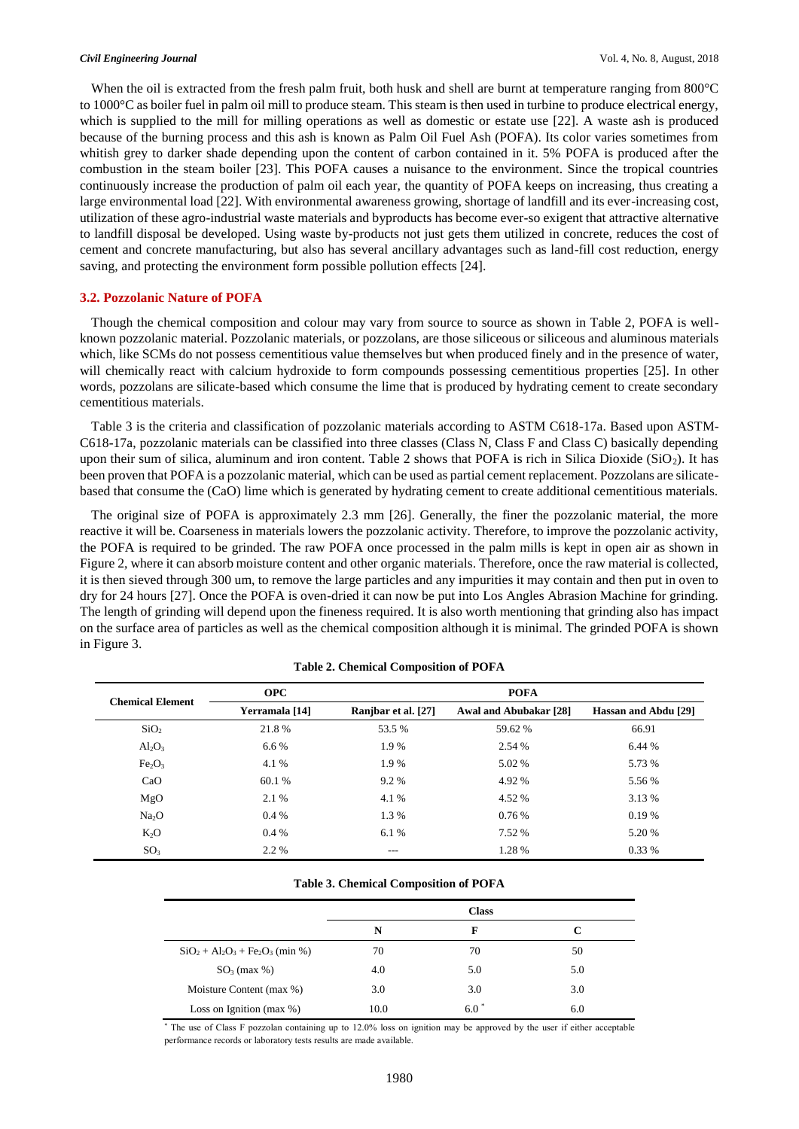When the oil is extracted from the fresh palm fruit, both husk and shell are burnt at temperature ranging from 800°C to 1000°C as boiler fuel in palm oil mill to produce steam. This steam is then used in turbine to produce electrical energy, which is supplied to the mill for milling operations as well as domestic or estate use [22]. A waste ash is produced because of the burning process and this ash is known as Palm Oil Fuel Ash (POFA). Its color varies sometimes from whitish grey to darker shade depending upon the content of carbon contained in it. 5% POFA is produced after the combustion in the steam boiler [23]. This POFA causes a nuisance to the environment. Since the tropical countries continuously increase the production of palm oil each year, the quantity of POFA keeps on increasing, thus creating a large environmental load [22]. With environmental awareness growing, shortage of landfill and its ever-increasing cost, utilization of these agro-industrial waste materials and byproducts has become ever-so exigent that attractive alternative to landfill disposal be developed. Using waste by-products not just gets them utilized in concrete, reduces the cost of cement and concrete manufacturing, but also has several ancillary advantages such as land-fill cost reduction, energy saving, and protecting the environment form possible pollution effects [24].

### **3.2. Pozzolanic Nature of POFA**

Though the chemical composition and colour may vary from source to source as shown in Table 2, POFA is wellknown pozzolanic material. Pozzolanic materials, or pozzolans, are those siliceous or siliceous and aluminous materials which, like SCMs do not possess cementitious value themselves but when produced finely and in the presence of water, will chemically react with calcium hydroxide to form compounds possessing cementitious properties [25]. In other words, pozzolans are silicate-based which consume the lime that is produced by hydrating cement to create secondary cementitious materials.

Table 3 is the criteria and classification of pozzolanic materials according to ASTM C618-17a. Based upon ASTM-C618-17a, pozzolanic materials can be classified into three classes (Class N, Class F and Class C) basically depending upon their sum of silica, aluminum and iron content. Table 2 shows that POFA is rich in Silica Dioxide ( $SiO<sub>2</sub>$ ). It has been proven that POFA is a pozzolanic material, which can be used as partial cement replacement. Pozzolans are silicatebased that consume the (CaO) lime which is generated by hydrating cement to create additional cementitious materials.

The original size of POFA is approximately 2.3 mm [26]. Generally, the finer the pozzolanic material, the more reactive it will be. Coarseness in materials lowers the pozzolanic activity. Therefore, to improve the pozzolanic activity, the POFA is required to be grinded. The raw POFA once processed in the palm mills is kept in open air as shown in Figure 2, where it can absorb moisture content and other organic materials. Therefore, once the raw material is collected, it is then sieved through 300 um, to remove the large particles and any impurities it may contain and then put in oven to dry for 24 hours [27]. Once the POFA is oven-dried it can now be put into Los Angles Abrasion Machine for grinding. The length of grinding will depend upon the fineness required. It is also worth mentioning that grinding also has impact on the surface area of particles as well as the chemical composition although it is minimal. The grinded POFA is shown in Figure 3.

| <b>Chemical Element</b>        | <b>OPC</b>     | <b>POFA</b>         |                        |                      |  |
|--------------------------------|----------------|---------------------|------------------------|----------------------|--|
|                                | Yerramala [14] | Ranjbar et al. [27] | Awal and Abubakar [28] | Hassan and Abdu [29] |  |
| SiO <sub>2</sub>               | 21.8%          | 53.5 %              | 59.62 %                | 66.91                |  |
| $Al_2O_3$                      | 6.6%           | 1.9 %               | 2.54 %                 | 6.44 %               |  |
| Fe <sub>2</sub> O <sub>3</sub> | 4.1 %          | 1.9%                | 5.02 %                 | 5.73 %               |  |
| CaO                            | 60.1 %         | 9.2 %               | 4.92 %                 | 5.56 %               |  |
| MgO                            | 2.1 %          | 4.1 %               | 4.52 %                 | 3.13 %               |  |
| Na <sub>2</sub> O              | 0.4%           | 1.3 %               | 0.76%                  | 0.19%                |  |
| K <sub>2</sub> O               | $0.4\%$        | 6.1 %               | 7.52 %                 | 5.20 %               |  |
| SO <sub>3</sub>                | 2.2 %          | $---$               | 1.28 %                 | $0.33\%$             |  |

**Table 2. Chemical Composition of POFA**

### **Table 3. Chemical Composition of POFA**

|                                     |      | <b>Class</b> |     |
|-------------------------------------|------|--------------|-----|
|                                     | N    | F            | C   |
| $SiO_2 + Al_2O_3 + Fe_2O_3$ (min %) | 70   | 70           | 50  |
| $SO_3$ (max %)                      | 4.0  | 5.0          | 5.0 |
| Moisture Content (max %)            | 3.0  | 3.0          | 3.0 |
| Loss on Ignition (max $\%$ )        | 10.0 | $6.0*$       | 6.0 |

\* The use of Class F pozzolan containing up to 12.0% loss on ignition may be approved by the user if either acceptable performance records or laboratory tests results are made available.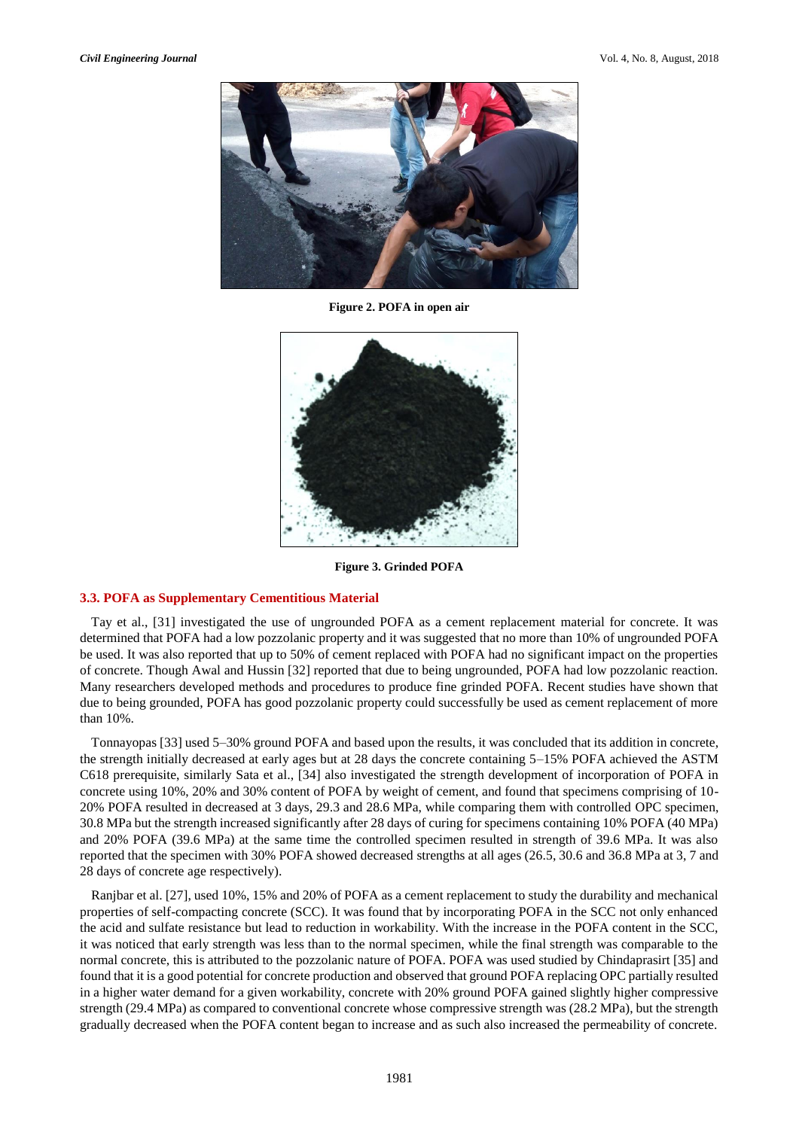

**Figure 2. POFA in open air**



**Figure 3. Grinded POFA**

### **3.3. POFA as Supplementary Cementitious Material**

Tay et al., [31] investigated the use of ungrounded POFA as a cement replacement material for concrete. It was determined that POFA had a low pozzolanic property and it was suggested that no more than 10% of ungrounded POFA be used. It was also reported that up to 50% of cement replaced with POFA had no significant impact on the properties of concrete. Though Awal and Hussin [32] reported that due to being ungrounded, POFA had low pozzolanic reaction. Many researchers developed methods and procedures to produce fine grinded POFA. Recent studies have shown that due to being grounded, POFA has good pozzolanic property could successfully be used as cement replacement of more than 10%.

Tonnayopas [33] used 5–30% ground POFA and based upon the results, it was concluded that its addition in concrete, the strength initially decreased at early ages but at 28 days the concrete containing 5–15% POFA achieved the ASTM C618 prerequisite, similarly Sata et al., [34] also investigated the strength development of incorporation of POFA in concrete using 10%, 20% and 30% content of POFA by weight of cement, and found that specimens comprising of 10- 20% POFA resulted in decreased at 3 days, 29.3 and 28.6 MPa, while comparing them with controlled OPC specimen, 30.8 MPa but the strength increased significantly after 28 days of curing for specimens containing 10% POFA (40 MPa) and 20% POFA (39.6 MPa) at the same time the controlled specimen resulted in strength of 39.6 MPa. It was also reported that the specimen with 30% POFA showed decreased strengths at all ages (26.5, 30.6 and 36.8 MPa at 3, 7 and 28 days of concrete age respectively).

Ranjbar et al. [27], used 10%, 15% and 20% of POFA as a cement replacement to study the durability and mechanical properties of self-compacting concrete (SCC). It was found that by incorporating POFA in the SCC not only enhanced the acid and sulfate resistance but lead to reduction in workability. With the increase in the POFA content in the SCC, it was noticed that early strength was less than to the normal specimen, while the final strength was comparable to the normal concrete, this is attributed to the pozzolanic nature of POFA. POFA was used studied by Chindaprasirt [35] and found that it is a good potential for concrete production and observed that ground POFA replacing OPC partially resulted in a higher water demand for a given workability, concrete with 20% ground POFA gained slightly higher compressive strength (29.4 MPa) as compared to conventional concrete whose compressive strength was (28.2 MPa), but the strength gradually decreased when the POFA content began to increase and as such also increased the permeability of concrete.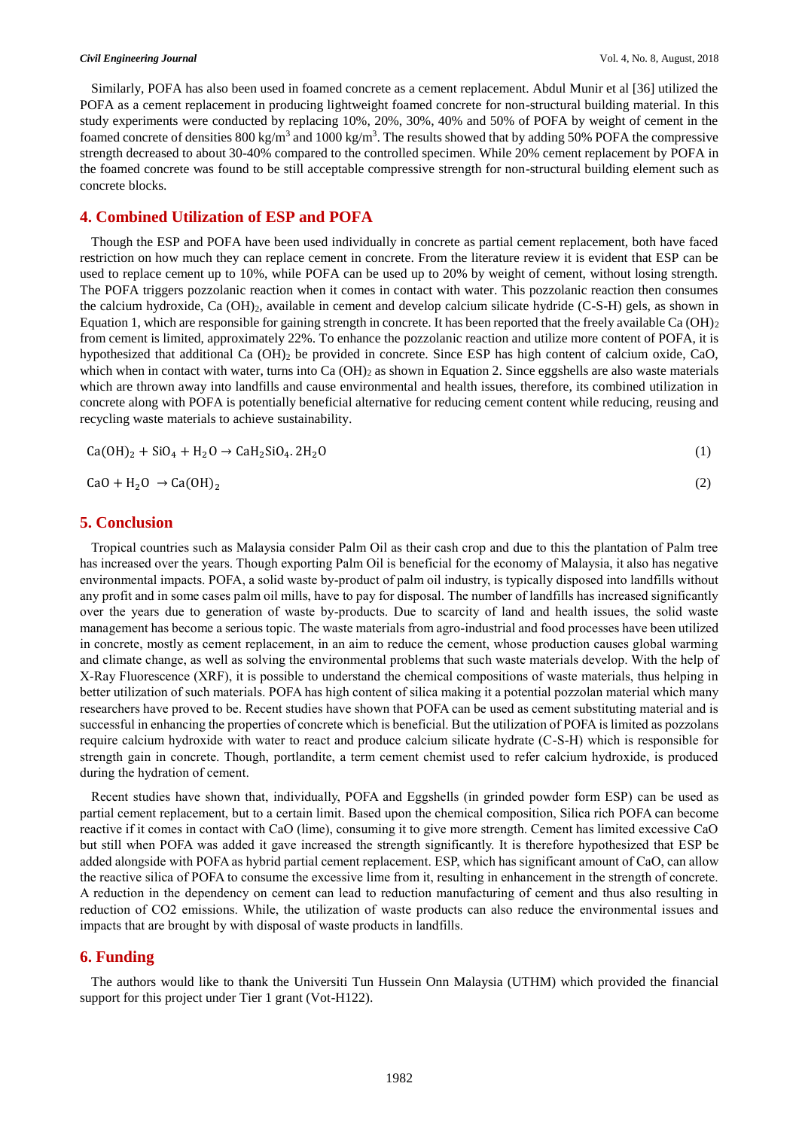Similarly, POFA has also been used in foamed concrete as a cement replacement. Abdul Munir et al [36] utilized the POFA as a cement replacement in producing lightweight foamed concrete for non-structural building material. In this study experiments were conducted by replacing 10%, 20%, 30%, 40% and 50% of POFA by weight of cement in the foamed concrete of densities  $800 \text{ kg/m}^3$  and  $1000 \text{ kg/m}^3$ . The results showed that by adding 50% POFA the compressive strength decreased to about 30-40% compared to the controlled specimen. While 20% cement replacement by POFA in the foamed concrete was found to be still acceptable compressive strength for non-structural building element such as concrete blocks.

## **4. Combined Utilization of ESP and POFA**

Though the ESP and POFA have been used individually in concrete as partial cement replacement, both have faced restriction on how much they can replace cement in concrete. From the literature review it is evident that ESP can be used to replace cement up to 10%, while POFA can be used up to 20% by weight of cement, without losing strength. The POFA triggers pozzolanic reaction when it comes in contact with water. This pozzolanic reaction then consumes the calcium hydroxide, Ca (OH)2, available in cement and develop calcium silicate hydride (C-S-H) gels, as shown in Equation 1, which are responsible for gaining strength in concrete. It has been reported that the freely available Ca  $(OH)_2$ from cement is limited, approximately 22%. To enhance the pozzolanic reaction and utilize more content of POFA, it is hypothesized that additional Ca (OH)<sup>2</sup> be provided in concrete. Since ESP has high content of calcium oxide, CaO, which when in contact with water, turns into  $Ca(OH)_2$  as shown in Equation 2. Since eggshells are also waste materials which are thrown away into landfills and cause environmental and health issues, therefore, its combined utilization in concrete along with POFA is potentially beneficial alternative for reducing cement content while reducing, reusing and recycling waste materials to achieve sustainability.

$$
Ca(OH)_2 + SiO_4 + H_2O \rightarrow CaH_2SiO_4.2H_2O
$$
 (1)

$$
CaO + H_2O \rightarrow Ca(OH)_2
$$
 (2)

## **5. Conclusion**

Tropical countries such as Malaysia consider Palm Oil as their cash crop and due to this the plantation of Palm tree has increased over the years. Though exporting Palm Oil is beneficial for the economy of Malaysia, it also has negative environmental impacts. POFA, a solid waste by-product of palm oil industry, is typically disposed into landfills without any profit and in some cases palm oil mills, have to pay for disposal. The number of landfills has increased significantly over the years due to generation of waste by-products. Due to scarcity of land and health issues, the solid waste management has become a serious topic. The waste materials from agro-industrial and food processes have been utilized in concrete, mostly as cement replacement, in an aim to reduce the cement, whose production causes global warming and climate change, as well as solving the environmental problems that such waste materials develop. With the help of X-Ray Fluorescence (XRF), it is possible to understand the chemical compositions of waste materials, thus helping in better utilization of such materials. POFA has high content of silica making it a potential pozzolan material which many researchers have proved to be. Recent studies have shown that POFA can be used as cement substituting material and is successful in enhancing the properties of concrete which is beneficial. But the utilization of POFA is limited as pozzolans require calcium hydroxide with water to react and produce calcium silicate hydrate (C-S-H) which is responsible for strength gain in concrete. Though, portlandite, a term cement chemist used to refer calcium hydroxide, is produced during the hydration of cement.

Recent studies have shown that, individually, POFA and Eggshells (in grinded powder form ESP) can be used as partial cement replacement, but to a certain limit. Based upon the chemical composition, Silica rich POFA can become reactive if it comes in contact with CaO (lime), consuming it to give more strength. Cement has limited excessive CaO but still when POFA was added it gave increased the strength significantly. It is therefore hypothesized that ESP be added alongside with POFA as hybrid partial cement replacement. ESP, which has significant amount of CaO, can allow the reactive silica of POFA to consume the excessive lime from it, resulting in enhancement in the strength of concrete. A reduction in the dependency on cement can lead to reduction manufacturing of cement and thus also resulting in reduction of CO2 emissions. While, the utilization of waste products can also reduce the environmental issues and impacts that are brought by with disposal of waste products in landfills.

### **6. Funding**

The authors would like to thank the Universiti Tun Hussein Onn Malaysia (UTHM) which provided the financial support for this project under Tier 1 grant (Vot-H122).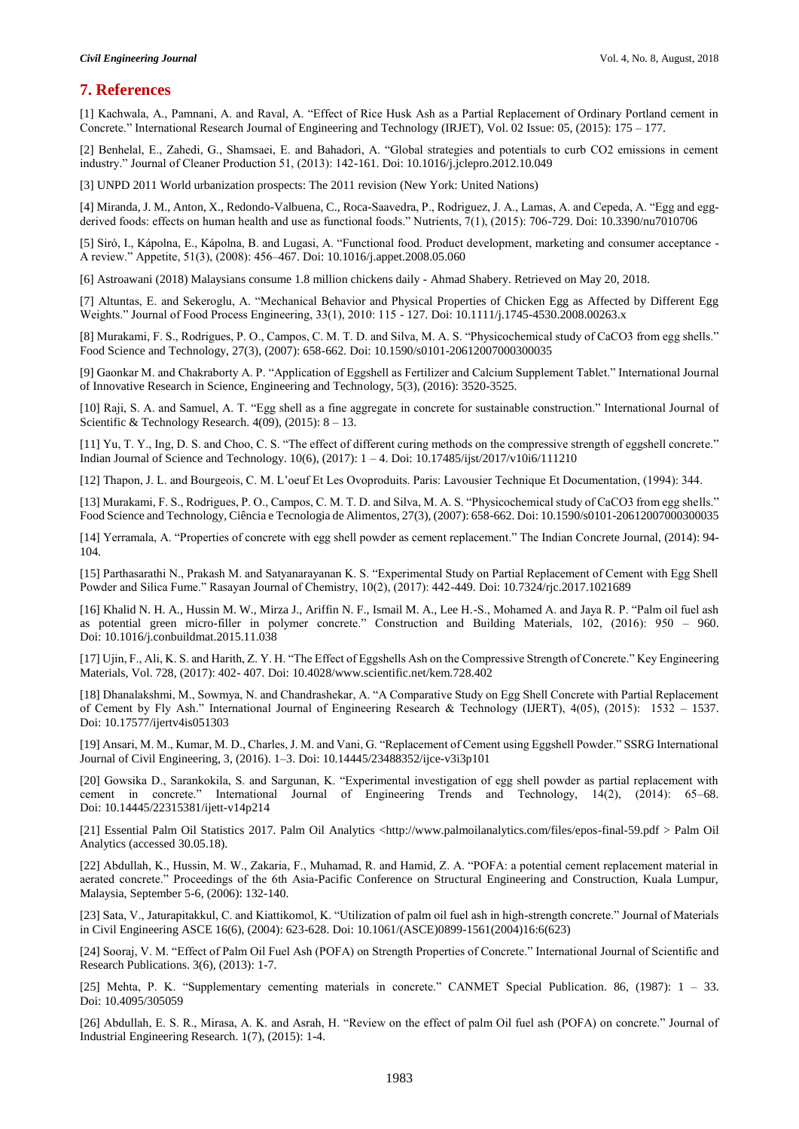# **7. References**

[1] Kachwala, A., Pamnani, A. and Raval, A. "Effect of Rice Husk Ash as a Partial Replacement of Ordinary Portland cement in Concrete." International Research Journal of Engineering and Technology (IRJET), Vol. 02 Issue: 05, (2015): 175 – 177.

[2] Benhelal, E., Zahedi, G., Shamsaei, E. and Bahadori, A. "Global strategies and potentials to curb CO2 emissions in cement industry." Journal of Cleaner Production 51, (2013): 142-161. Doi: 10.1016/j.jclepro.2012.10.049

[3] UNPD 2011 World urbanization prospects: The 2011 revision (New York: United Nations)

[4] Miranda, J. M., Anton, X., Redondo-Valbuena, C., Roca-Saavedra, P., Rodriguez, J. A., Lamas, A. and Cepeda, A. "Egg and eggderived foods: effects on human health and use as functional foods." Nutrients, 7(1), (2015): 706-729. Doi: 10.3390/nu7010706

[5] Siró, I., Kápolna, E., Kápolna, B. and Lugasi, A. "Functional food. Product development, marketing and consumer acceptance - A review." Appetite, 51(3), (2008): 456–467. Doi: 10.1016/j.appet.2008.05.060

[6] Astroawani (2018) Malaysians consume 1.8 million chickens daily - Ahmad Shabery. Retrieved on May 20, 2018.

[7] Altuntas, E. and Sekeroglu, A. "Mechanical Behavior and Physical Properties of Chicken Egg as Affected by Different Egg Weights." Journal of Food Process Engineering, 33(1), 2010: 115 - 127. Doi: 10.1111/j.1745-4530.2008.00263.x

[8] Murakami, F. S., Rodrigues, P. O., Campos, C. M. T. D. and Silva, M. A. S. "Physicochemical study of CaCO3 from egg shells." Food Science and Technology, 27(3), (2007): 658-662. Doi: 10.1590/s0101-20612007000300035

[9] Gaonkar M. and Chakraborty A. P. "Application of Eggshell as Fertilizer and Calcium Supplement Tablet." International Journal of Innovative Research in Science, Engineering and Technology, 5(3), (2016): 3520-3525.

[10] Raji, S. A. and Samuel, A. T. "Egg shell as a fine aggregate in concrete for sustainable construction." International Journal of Scientific & Technology Research. 4(09), (2015): 8 – 13.

[11] Yu, T. Y., Ing, D. S. and Choo, C. S. "The effect of different curing methods on the compressive strength of eggshell concrete." Indian Journal of Science and Technology. 10(6), (2017): 1 – 4. Doi: 10.17485/ijst/2017/v10i6/111210

[12] Thapon, J. L. and Bourgeois, C. M. L'oeuf Et Les Ovoproduits. Paris: Lavousier Technique Et Documentation, (1994): 344.

[13] Murakami, F. S., Rodrigues, P. O., Campos, C. M. T. D. and Silva, M. A. S. "Physicochemical study of CaCO3 from egg shells." Food Science and Technology, Ciência e Tecnologia de Alimentos, 27(3), (2007): 658-662. Doi: 10.1590/s0101-20612007000300035

[14] Yerramala, A. "Properties of concrete with egg shell powder as cement replacement." The Indian Concrete Journal, (2014): 94- 104.

[15] Parthasarathi N., Prakash M. and Satyanarayanan K. S. "Experimental Study on Partial Replacement of Cement with Egg Shell Powder and Silica Fume." Rasayan Journal of Chemistry, 10(2), (2017): 442-449. Doi: 10.7324/rjc.2017.1021689

[16] Khalid N. H. A., Hussin M. W., Mirza J., Ariffin N. F., Ismail M. A., Lee H.-S., Mohamed A. and Jaya R. P. "Palm oil fuel ash as potential green micro-filler in polymer concrete." Construction and Building Materials, 102, (2016): 950 – 960. Doi: 10.1016/j.conbuildmat.2015.11.038

[17] Ujin, F., Ali, K. S. and Harith, Z. Y. H. "The Effect of Eggshells Ash on the Compressive Strength of Concrete." Key Engineering Materials, Vol. 728, (2017): 402- 407. Doi: 10.4028/www.scientific.net/kem.728.402

[18] Dhanalakshmi, M., Sowmya, N. and Chandrashekar, A. "A Comparative Study on Egg Shell Concrete with Partial Replacement of Cement by Fly Ash." International Journal of Engineering Research & Technology (IJERT), 4(05), (2015): 1532 – 1537. Doi: 10.17577/ijertv4is051303

[19] Ansari, M. M., Kumar, M. D., Charles, J. M. and Vani, G. "Replacement of Cement using Eggshell Powder." SSRG International Journal of Civil Engineering, 3, (2016). 1–3. Doi: 10.14445/23488352/ijce-v3i3p101

[20] Gowsika D., Sarankokila, S. and Sargunan, K. "Experimental investigation of egg shell powder as partial replacement with cement in concrete." International Journal of Engineering Trends and Technology, 14(2), (2014): 65–68. Doi: 10.14445/22315381/ijett-v14p214

[21] Essential Palm Oil Statistics 2017. Palm Oil Analytics <http://www.palmoilanalytics.com/files/epos-final-59.pdf > Palm Oil Analytics (accessed 30.05.18).

[22] Abdullah, K., Hussin, M. W., Zakaria, F., Muhamad, R. and Hamid, Z. A. "POFA: a potential cement replacement material in aerated concrete." Proceedings of the 6th Asia-Pacific Conference on Structural Engineering and Construction, Kuala Lumpur, Malaysia, September 5-6, (2006): 132-140.

[23] Sata, V., Jaturapitakkul, C. and Kiattikomol, K. "Utilization of palm oil fuel ash in high-strength concrete." Journal of Materials in Civil Engineering ASCE 16(6), (2004): 623-628. Doi: 10.1061/(ASCE)0899-1561(2004)16:6(623)

[24] Sooraj, V. M. "Effect of Palm Oil Fuel Ash (POFA) on Strength Properties of Concrete." International Journal of Scientific and Research Publications. 3(6), (2013): 1-7.

[25] Mehta, P. K. "Supplementary cementing materials in concrete." CANMET Special Publication. 86, (1987): 1 – 33. Doi: 10.4095/305059

[26] Abdullah, E. S. R., Mirasa, A. K. and Asrah, H. "Review on the effect of palm Oil fuel ash (POFA) on concrete." Journal of Industrial Engineering Research. 1(7), (2015): 1-4.